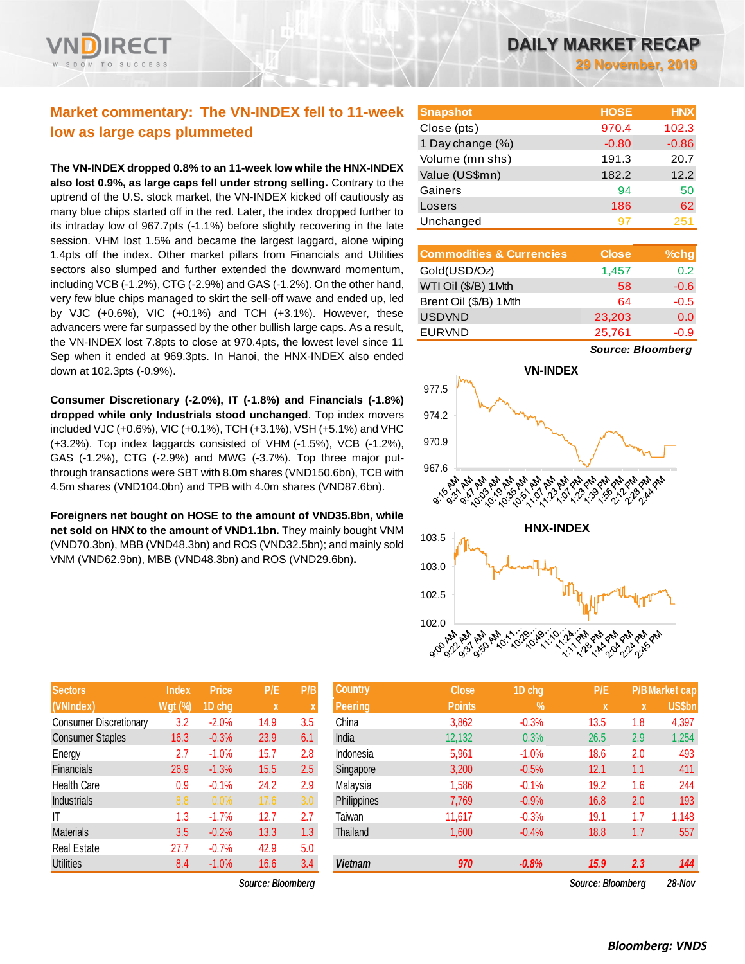

# **Market commentary: The VN-INDEX fell to 11-week low as large caps plummeted**

**The VN-INDEX dropped 0.8% to an 11-week low while the HNX-INDEX also lost 0.9%, as large caps fell under strong selling.** Contrary to the uptrend of the U.S. stock market, the VN-INDEX kicked off cautiously as many blue chips started off in the red. Later, the index dropped further to its intraday low of 967.7pts (-1.1%) before slightly recovering in the late session. VHM lost 1.5% and became the largest laggard, alone wiping 1.4pts off the index. Other market pillars from Financials and Utilities sectors also slumped and further extended the downward momentum, including VCB (-1.2%), CTG (-2.9%) and GAS (-1.2%). On the other hand, very few blue chips managed to skirt the sell-off wave and ended up, led by VJC (+0.6%), VIC (+0.1%) and TCH (+3.1%). However, these advancers were far surpassed by the other bullish large caps. As a result, the VN-INDEX lost 7.8pts to close at 970.4pts, the lowest level since 11 Sep when it ended at 969.3pts. In Hanoi, the HNX-INDEX also ended down at 102.3pts (-0.9%).

**Consumer Discretionary (-2.0%), IT (-1.8%) and Financials (-1.8%) dropped while only Industrials stood unchanged**. Top index movers included VJC (+0.6%), VIC (+0.1%), TCH (+3.1%), VSH (+5.1%) and VHC (+3.2%). Top index laggards consisted of VHM (-1.5%), VCB (-1.2%), GAS (-1.2%), CTG (-2.9%) and MWG (-3.7%). Top three major putthrough transactions were SBT with 8.0m shares (VND150.6bn), TCB with 4.5m shares (VND104.0bn) and TPB with 4.0m shares (VND87.6bn).

**Foreigners net bought on HOSE to the amount of VND35.8bn, while net sold on HNX to the amount of VND1.1bn.** They mainly bought VNM (VND70.3bn), MBB (VND48.3bn) and ROS (VND32.5bn); and mainly sold VNM (VND62.9bn), MBB (VND48.3bn) and ROS (VND29.6bn)**.**

| <b>Sectors</b>                | <b>Index</b> | Price   | P/E  | P/B |
|-------------------------------|--------------|---------|------|-----|
| (VNIndex)                     | $Wgt$ (%)    | 1D chg  | X    | X   |
| <b>Consumer Discretionary</b> | 3.2          | $-2.0%$ | 14.9 | 3.5 |
| <b>Consumer Staples</b>       | 16.3         | $-0.3%$ | 23.9 | 6.1 |
| Energy                        | 2.7          | $-1.0%$ | 15.7 | 2.8 |
| <b>Financials</b>             | 26.9         | $-1.3%$ | 15.5 | 2.5 |
| <b>Health Care</b>            | 0.9          | $-0.1%$ | 24.2 | 2.9 |
| <b>Industrials</b>            | 8.8          | 0.0%    | 17.6 | 3.0 |
| IT                            | 1.3          | $-1.7%$ | 12.7 | 2.7 |
| <b>Materials</b>              | 3.5          | $-0.2%$ | 13.3 | 1.3 |
| <b>Real Estate</b>            | 27.7         | $-0.7%$ | 42.9 | 5.0 |
| Utilities                     | 8.4          | $-1.0%$ | 16.6 | 3.4 |

 $Source: Bloomberg$ 

**29 November, 2019**

| <b>Snapshot</b>  | <b>HOSE</b> | <b>HNX</b> |
|------------------|-------------|------------|
| Close (pts)      | 970.4       | 102.3      |
| 1 Day change (%) | $-0.80$     | $-0.86$    |
| Volume (mn shs)  | 191.3       | 20.7       |
| Value (US\$mn)   | 182.2       | 12.2       |
| Gainers          | 94          | 50         |
| Losers           | 186         | 62         |
| Unchanged        | 97          | 251        |

| <b>Commodities &amp; Currencies</b> | <b>Close</b> | $%$ chg |
|-------------------------------------|--------------|---------|
| Gold(USD/Oz)                        | 1,457        | 0.2     |
| WTI Oil (\$/B) 1Mth                 | 58           | $-0.6$  |
| Brent Oil (\$/B) 1Mth               | 64           | $-0.5$  |
| <b>USDVND</b>                       | 23,203       | 0.0     |
| <b>EURVND</b>                       | 25,761       | -0.9    |

*Source: Bloomberg*



| <b>Sectors</b>          | <b>Index</b>   | <b>Price</b> | P/E               | P/B | <b>Country</b> | <b>Close</b>  | 1D chg     | P/E               |     | <b>P/B Market cap</b> |
|-------------------------|----------------|--------------|-------------------|-----|----------------|---------------|------------|-------------------|-----|-----------------------|
| (VNIndex)               | <b>Wgt (%)</b> | 1D chg       | $\mathbf{X}$      |     | <b>Peering</b> | <b>Points</b> | $\sqrt{2}$ | <b>X</b>          | X   | US\$bn                |
| Consumer Discretionary  | 3.2            | $-2.0%$      | 14.9              | 3.5 | China          | 3,862         | $-0.3%$    | 13.5              | 1.8 | 4,397                 |
| <b>Consumer Staples</b> | 16.3           | $-0.3%$      | 23.9              | 6.1 | India          | 12,132        | 0.3%       | 26.5              | 2.9 | 1,254                 |
| Energy                  | 2.7            | $-1.0%$      | 15.7              | 2.8 | Indonesia      | 5,961         | $-1.0%$    | 18.6              | 2.0 | 493                   |
| <b>Financials</b>       | 26.9           | $-1.3%$      | 15.5              | 2.5 | Singapore      | 3,200         | $-0.5%$    | 12.1              | 1.1 | 411                   |
| Health Care             | 0.9            | $-0.1%$      | 24.2              | 2.9 | Malaysia       | 1,586         | $-0.1%$    | 19.2              | 1.6 | 244                   |
| <b>Industrials</b>      | 8.8            | 0.0%         | 17.6              | 3.0 | Philippines    | 7,769         | $-0.9%$    | 16.8              | 2.0 | 193                   |
| IΤ                      | 1.3            | $-1.7%$      | 12.7              | 2.7 | Taiwan         | 11.617        | $-0.3%$    | 19.1              | 1.7 | 1,148                 |
| <b>Materials</b>        | 3.5            | $-0.2%$      | 13.3              | 1.3 | Thailand       | 1,600         | $-0.4%$    | 18.8              | 1.7 | 557                   |
| Real Estate             | 27.7           | $-0.7%$      | 42.9              | 5.0 |                |               |            |                   |     |                       |
| <b>Utilities</b>        | 8.4            | $-1.0%$      | 16.6              | 3.4 | <b>Vietnam</b> | 970           | $-0.8%$    | 15.9              | 2.3 | 144                   |
|                         |                |              | Source: Bloombera |     |                |               |            | Source: Bloombera |     | 28-Nov                |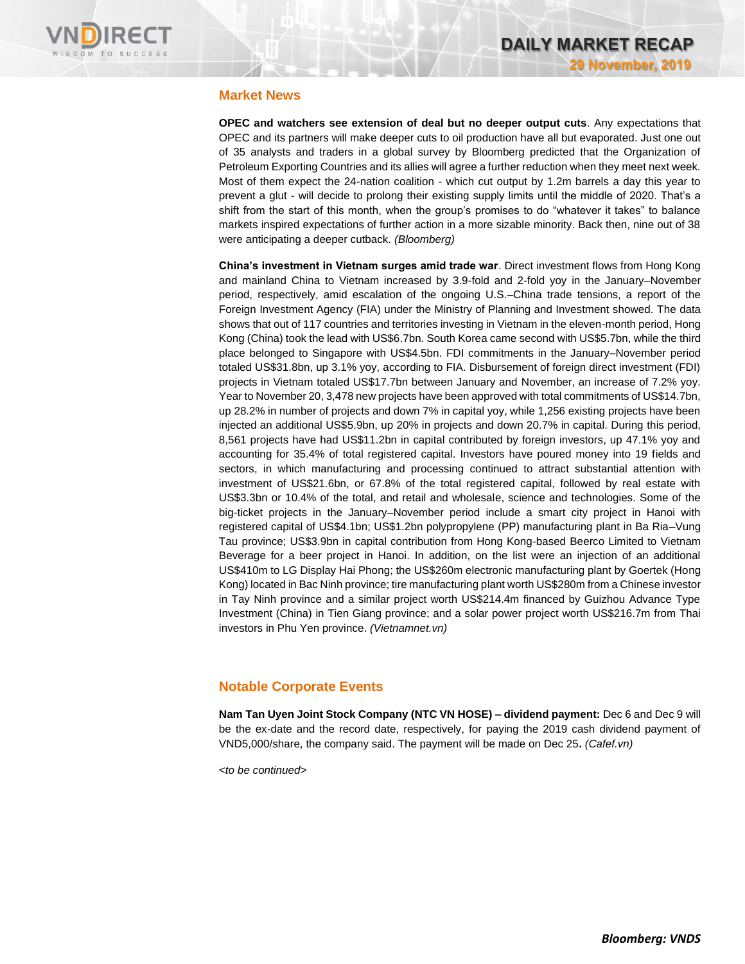

### **Market News**

**OPEC and watchers see extension of deal but no deeper output cuts**. Any expectations that OPEC and its partners will make deeper cuts to oil production have all but evaporated. Just one out of 35 analysts and traders in a global survey by Bloomberg predicted that the Organization of Petroleum Exporting Countries and its allies will agree a further reduction when they meet next week. Most of them expect the 24-nation coalition - which cut output by 1.2m barrels a day this year to prevent a glut - will decide to prolong their existing supply limits until the middle of 2020. That's a shift from the start of this month, when the group's promises to do "whatever it takes" to balance markets inspired expectations of further action in a more sizable minority. Back then, nine out of 38 were anticipating a deeper cutback. *(Bloomberg)*

**China's investment in Vietnam surges amid trade war**. Direct investment flows from Hong Kong and mainland China to Vietnam increased by 3.9-fold and 2-fold yoy in the January–November period, respectively, amid escalation of the ongoing U.S.–China trade tensions, a report of the Foreign Investment Agency (FIA) under the Ministry of Planning and Investment showed. The data shows that out of 117 countries and territories investing in Vietnam in the eleven-month period, Hong Kong (China) took the lead with US\$6.7bn. South Korea came second with US\$5.7bn, while the third place belonged to Singapore with US\$4.5bn. FDI commitments in the January–November period totaled US\$31.8bn, up 3.1% yoy, according to FIA. Disbursement of foreign direct investment (FDI) projects in Vietnam totaled US\$17.7bn between January and November, an increase of 7.2% yoy. Year to November 20, 3,478 new projects have been approved with total commitments of US\$14.7bn, up 28.2% in number of projects and down 7% in capital yoy, while 1,256 existing projects have been injected an additional US\$5.9bn, up 20% in projects and down 20.7% in capital. During this period, 8,561 projects have had US\$11.2bn in capital contributed by foreign investors, up 47.1% yoy and accounting for 35.4% of total registered capital. Investors have poured money into 19 fields and sectors, in which manufacturing and processing continued to attract substantial attention with investment of US\$21.6bn, or 67.8% of the total registered capital, followed by real estate with US\$3.3bn or 10.4% of the total, and retail and wholesale, science and technologies. Some of the big-ticket projects in the January–November period include a smart city project in Hanoi with registered capital of US\$4.1bn; US\$1.2bn polypropylene (PP) manufacturing plant in Ba Ria–Vung Tau province; US\$3.9bn in capital contribution from Hong Kong-based Beerco Limited to Vietnam Beverage for a beer project in Hanoi. In addition, on the list were an injection of an additional US\$410m to LG Display Hai Phong; the US\$260m electronic manufacturing plant by Goertek (Hong Kong) located in Bac Ninh province; tire manufacturing plant worth US\$280m from a Chinese investor in Tay Ninh province and a similar project worth US\$214.4m financed by Guizhou Advance Type Investment (China) in Tien Giang province; and a solar power project worth US\$216.7m from Thai investors in Phu Yen province. *(Vietnamnet.vn)*

### **Notable Corporate Events**

**Nam Tan Uyen Joint Stock Company (NTC VN HOSE) – dividend payment:** Dec 6 and Dec 9 will be the ex-date and the record date, respectively, for paying the 2019 cash dividend payment of VND5,000/share, the company said. The payment will be made on Dec 25**.** *(Cafef.vn)*

*<to be continued>*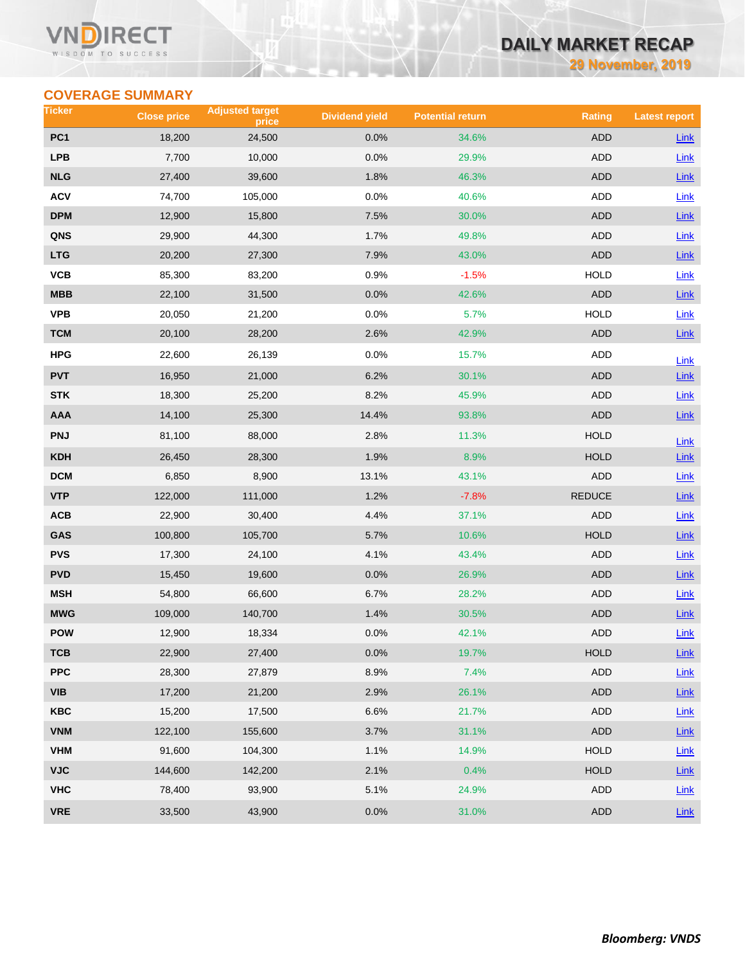#### **VN** RECT WISDOM TO SUCCESS

# **DAILY MARKET RECAP**

**29 November, 2019**

# **COVERAGE SUMMARY**

| Ticker          | <b>Close price</b> | <b>Adjusted target</b><br>price | <b>Dividend yield</b> | <b>Potential return</b> | <b>Rating</b> | <b>Latest report</b> |
|-----------------|--------------------|---------------------------------|-----------------------|-------------------------|---------------|----------------------|
| PC <sub>1</sub> | 18,200             | 24,500                          | 0.0%                  | 34.6%                   | <b>ADD</b>    | <b>Link</b>          |
| <b>LPB</b>      | 7,700              | 10,000                          | 0.0%                  | 29.9%                   | ADD           | Link                 |
| <b>NLG</b>      | 27,400             | 39,600                          | 1.8%                  | 46.3%                   | <b>ADD</b>    | Link                 |
| <b>ACV</b>      | 74,700             | 105,000                         | 0.0%                  | 40.6%                   | ADD           | Link                 |
| DPM             | 12,900             | 15,800                          | 7.5%                  | 30.0%                   | ADD           | Link                 |
| QNS             | 29,900             | 44,300                          | 1.7%                  | 49.8%                   | ADD           | <b>Link</b>          |
| <b>LTG</b>      | 20,200             | 27,300                          | 7.9%                  | 43.0%                   | <b>ADD</b>    | $Link$               |
| VCB             | 85,300             | 83,200                          | 0.9%                  | $-1.5%$                 | <b>HOLD</b>   | Link                 |
| MBB             | 22,100             | 31,500                          | 0.0%                  | 42.6%                   | ADD           | Link                 |
| <b>VPB</b>      | 20,050             | 21,200                          | 0.0%                  | 5.7%                    | <b>HOLD</b>   | Link                 |
| <b>TCM</b>      | 20,100             | 28,200                          | 2.6%                  | 42.9%                   | <b>ADD</b>    | Link                 |
| <b>HPG</b>      | 22,600             | 26,139                          | 0.0%                  | 15.7%                   | ADD           | Link                 |
| <b>PVT</b>      | 16,950             | 21,000                          | 6.2%                  | 30.1%                   | <b>ADD</b>    | <b>Link</b>          |
| <b>STK</b>      | 18,300             | 25,200                          | 8.2%                  | 45.9%                   | ADD           | Link                 |
| AAA             | 14,100             | 25,300                          | 14.4%                 | 93.8%                   | <b>ADD</b>    | Link                 |
| <b>PNJ</b>      | 81,100             | 88,000                          | 2.8%                  | 11.3%                   | <b>HOLD</b>   | Link                 |
| <b>KDH</b>      | 26,450             | 28,300                          | 1.9%                  | 8.9%                    | <b>HOLD</b>   | Link                 |
| <b>DCM</b>      | 6,850              | 8,900                           | 13.1%                 | 43.1%                   | ADD           | Link                 |
| <b>VTP</b>      | 122,000            | 111,000                         | 1.2%                  | $-7.8%$                 | <b>REDUCE</b> | $Link$               |
| ACB             | 22,900             | 30,400                          | 4.4%                  | 37.1%                   | ADD           | Link                 |
| GAS             | 100,800            | 105,700                         | 5.7%                  | 10.6%                   | <b>HOLD</b>   | Link                 |
| <b>PVS</b>      | 17,300             | 24,100                          | 4.1%                  | 43.4%                   | ADD           | Link                 |
| <b>PVD</b>      | 15,450             | 19,600                          | 0.0%                  | 26.9%                   | ADD           | Link                 |
| <b>MSH</b>      | 54,800             | 66,600                          | 6.7%                  | 28.2%                   | ADD           | Link                 |
| <b>MWG</b>      | 109,000            | 140,700                         | 1.4%                  | 30.5%                   | ADD           | Link                 |
| <b>POW</b>      | 12,900             | 18,334                          | 0.0%                  | 42.1%                   | <b>ADD</b>    | Link                 |
| ТСВ             | 22,900             | 27,400                          | 0.0%                  | 19.7%                   | <b>HOLD</b>   | $Link$               |
| <b>PPC</b>      | 28,300             | 27,879                          | 8.9%                  | 7.4%                    | <b>ADD</b>    | Link                 |
| VIB             | 17,200             | 21,200                          | 2.9%                  | 26.1%                   | ADD           | $Link$               |
| <b>KBC</b>      | 15,200             | 17,500                          | 6.6%                  | 21.7%                   | ADD           | Link                 |
| <b>VNM</b>      | 122,100            | 155,600                         | 3.7%                  | 31.1%                   | ADD           | Link                 |
| <b>VHM</b>      | 91,600             | 104,300                         | 1.1%                  | 14.9%                   | <b>HOLD</b>   | Link                 |
| <b>VJC</b>      | 144,600            | 142,200                         | 2.1%                  | 0.4%                    | <b>HOLD</b>   | <b>Link</b>          |
| <b>VHC</b>      | 78,400             | 93,900                          | 5.1%                  | 24.9%                   | ADD           | Link                 |
| <b>VRE</b>      | 33,500             | 43,900                          | 0.0%                  | 31.0%                   | <b>ADD</b>    | $Link$               |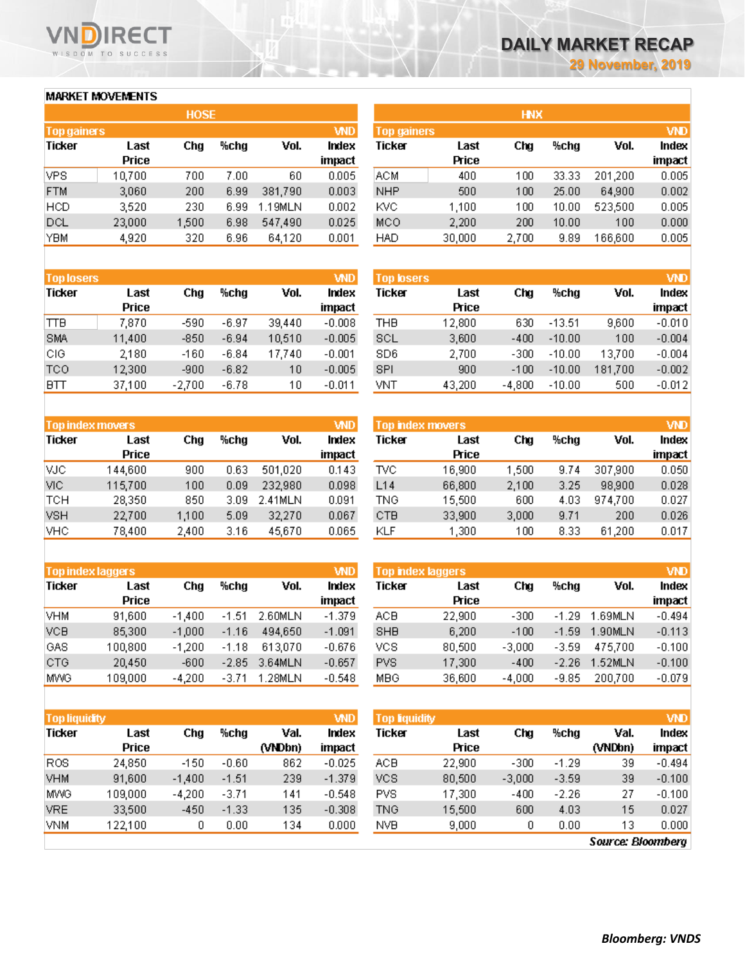### **MARKET MOVEMENTS**

WISDOM TO SUCCESS

n

**RECT** 

| <b>HOSE</b>        |       |      |         |            |  |  |  |
|--------------------|-------|------|---------|------------|--|--|--|
| <b>Top gainers</b> |       |      |         | <b>VND</b> |  |  |  |
| Last               | Cha   | %chg | Vol.    | Index      |  |  |  |
| Price              |       |      |         | impact     |  |  |  |
| 10,700             | 700   | 7.00 | 60      | 0.005      |  |  |  |
| 3,060              | 200   | 6.99 | 381,790 | 0.003      |  |  |  |
| 3,520              | 230   | 6.99 | 1.19MLN | 0.002      |  |  |  |
| 23,000             | 1,500 | 6.98 | 547,490 | 0.025      |  |  |  |
| 4,920              | 320   | 6.96 | 64,120  | 0.001      |  |  |  |
|                    |       |      |         |            |  |  |  |

| <b>Top losers</b> |        |          |         |        | <b>VND</b> |
|-------------------|--------|----------|---------|--------|------------|
| <b>Ticker</b>     | Last   | Cha      | %cha    | Vol.   | Index      |
|                   | Price  |          |         |        | impact     |
| <b>TTB</b>        | 7,870  | -590     | $-6.97$ | 39,440 | $-0.008$   |
| <b>SMA</b>        | 11,400 | $-850$   | $-6.94$ | 10,510 | $-0.005$   |
| CIG               | 2,180  | $-160$   | $-6.84$ | 17,740 | $-0.001$   |
| TCO               | 12,300 | -900     | $-6.82$ | 10     | $-0.005$   |
| BΠ                | 37,100 | $-2,700$ | $-6.78$ | 10     | $-0.011$   |

| <b>Top index movers</b> |         |       |      |         |        |  |
|-------------------------|---------|-------|------|---------|--------|--|
| <b>Ticker</b>           | Last    | Cha   | %chg | Vol.    | Index  |  |
|                         | Price   |       |      |         | impact |  |
| VJC.                    | 144,600 | 900   | 0.63 | 501,020 | 0.143  |  |
| VIC.                    | 115,700 | 100   | 0.09 | 232,980 | 0.098  |  |
| <b>TCH</b>              | 28,350  | 850   | 3.09 | 2.41MLN | 0.091  |  |
| <b>VSH</b>              | 22,700  | 1,100 | 5.09 | 32,270  | 0.067  |  |
| <b>VHC</b>              | 78,400  | 2,400 | 3.16 | 45,670  | 0.065  |  |

| <b>Top index laggers</b> |         |          |         |         |          |
|--------------------------|---------|----------|---------|---------|----------|
| <b>Ticker</b>            | Last    | Cha      | %cha    | Vol.    | Index    |
|                          | Price   |          |         |         | impact   |
| <b>VHM</b>               | 91,600  | $-1,400$ | $-1.51$ | 2.60MLN | $-1.379$ |
| <b>VCB</b>               | 85,300  | $-1,000$ | $-1.16$ | 494,650 | $-1.091$ |
| GAS                      | 100,800 | $-1,200$ | $-1.18$ | 613,070 | $-0.676$ |
| CTG                      | 20,450  | $-600$   | $-2.85$ | 3.64MLN | $-0.657$ |
| <b>MWG</b>               | 109,000 | $-4,200$ | $-3.71$ | 1.28MLN | $-0.548$ |

| <b>Top liquidity</b> |         |          |         |         | <b>VND</b> |
|----------------------|---------|----------|---------|---------|------------|
| Ticker               | Last    | Cha      | %cha    | Val.    | Index      |
|                      | Price   |          |         | (VNDbn) | impact     |
| R0S                  | 24,850  | $-150$   | $-0.60$ | 862     | $-0.025$   |
| VHM                  | 91,600  | $-1.400$ | $-1.51$ | 239     | $-1.379$   |
| <b>MWG</b>           | 109,000 | $-4.200$ | $-3.71$ | 141     | $-0.548$   |
| <b>VRE</b>           | 33,500  | $-450$   | $-1.33$ | 135     | $-0.308$   |
| VNM                  | 122,100 | 0        | 0.00    | 134     | 0.000      |

| <b>HNX</b>         |        |       |       |         |            |  |  |  |
|--------------------|--------|-------|-------|---------|------------|--|--|--|
| <b>Top gainers</b> |        |       |       |         | <b>VND</b> |  |  |  |
| Ticker             | Last   | Cha   | %chg  | Vol.    | Index      |  |  |  |
|                    | Price  |       |       |         | impact     |  |  |  |
| ACM.               | 400    | 100   | 33.33 | 201,200 | 0.005      |  |  |  |
| <b>NHP</b>         | 500    | 100   | 25.00 | 64,900  | 0.002      |  |  |  |
| KVC                | 1,100  | 100   | 10.00 | 523,500 | 0.005      |  |  |  |
| MCO                | 2,200  | 200   | 10.00 | 100     | 0.000      |  |  |  |
| <b>HAD</b>         | 30,000 | 2,700 | 9.89  | 166,600 | 0.005      |  |  |  |
|                    |        |       |       |         |            |  |  |  |

| <b>Top losers</b> |          |          |         | <b>VND</b> |
|-------------------|----------|----------|---------|------------|
| Last              | Cha      | %chg     | Vol.    | Index      |
| Price             |          |          |         | impact     |
| 12,800            | 630      | $-13.51$ | 9,600   | $-0.010$   |
| 3,600             | $-400$   | $-10.00$ | 100     | $-0.004$   |
| 2,700             | $-300$   | $-10.00$ | 13,700  | $-0.004$   |
| 900               | $-100$   | $-10.00$ | 181,700 | $-0.002$   |
| 43,200            | $-4,800$ | $-10.00$ | 500     | $-0.012$   |
|                   |          |          |         |            |

|            | Top index movers |       | <b>VND</b> |         |        |  |  |  |  |
|------------|------------------|-------|------------|---------|--------|--|--|--|--|
| Ticker     | Last             | Cha   | %chg       | Vol.    | Index  |  |  |  |  |
|            | Price            |       |            |         | impact |  |  |  |  |
| TVC        | 16,900           | 1,500 | 9.74       | 307,900 | 0.050  |  |  |  |  |
| L14        | 66,800           | 2,100 | 3.25       | 98,900  | 0.028  |  |  |  |  |
| <b>TNG</b> | 15,500           | 600   | 4.03       | 974,700 | 0.027  |  |  |  |  |
| CTB        | 33,900           | 3,000 | 9.71       | 200     | 0.026  |  |  |  |  |
| KLF        | 1,300            | 100   | 8.33       | 61,200  | 0.017  |  |  |  |  |

| <b>Top index laggers</b> |        |          |         |         | <b>VND</b> |
|--------------------------|--------|----------|---------|---------|------------|
| <b>Ticker</b>            | Last   | Cha      | %cha    | Vol.    | Index      |
|                          | Price  |          |         |         | impact     |
| ACB                      | 22,900 | $-300$   | $-1.29$ | 1.69MLN | $-0.494$   |
| SHB                      | 6,200  | $-100$   | $-1.59$ | 1.90MLN | $-0.113$   |
| vcs                      | 80,500 | $-3,000$ | $-3.59$ | 475,700 | $-0.100$   |
| <b>PVS</b>               | 17,300 | $-400$   | $-2.26$ | 1.52MLN | $-0.100$   |
| MBG                      | 36,600 | $-4,000$ | $-9.85$ | 200,700 | $-0.079$   |

| <b>Top liquidity</b> |        |          |         |         | <b>VND</b>   |
|----------------------|--------|----------|---------|---------|--------------|
| Ticker               | Last   | Cha      | %cha    | Val.    | <b>Index</b> |
|                      | Price  |          |         | (VNDbn) | impact       |
| ACB                  | 22,900 | -300     | $-1.29$ | 39      | $-0.494$     |
| VCS                  | 80,500 | $-3,000$ | $-3.59$ | 39      | $-0.100$     |
| <b>PVS</b>           | 17,300 | $-400$   | $-2.26$ | 27      | $-0.100$     |
| <b>TNG</b>           | 15,500 | 600      | 4.03    | 15      | 0.027        |
| NVB                  | 9,000  | 0        | 0.00    | 13      | 0.000        |

**Source: Bloomberg**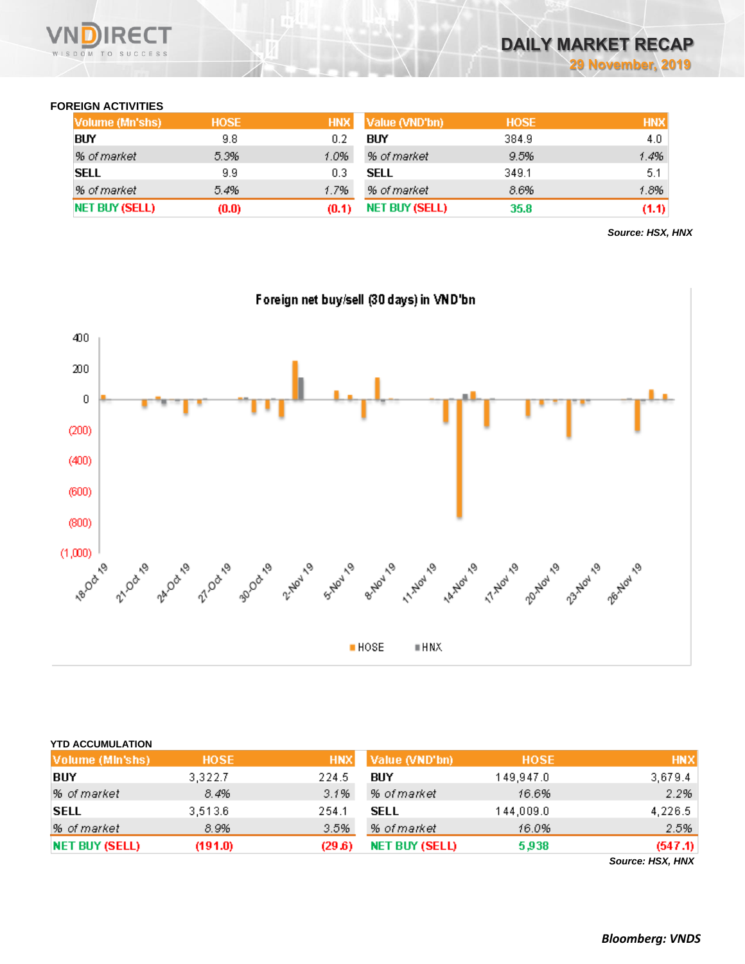

## **FOREIGN ACTIVITIES**

| Volume (Mn'shs) | <b>HOSE</b> | <b>HNX</b> | Value (VND'bn) | <b>HOSE</b> | <b>HNX</b> |
|-----------------|-------------|------------|----------------|-------------|------------|
| <b>BUY</b>      | 9.8         | 02         | BUY            | 384.9       | 4.0        |
| % of market     | 5.3%        | 1.0%       | % of market    | 9.5%        | 1.4%       |
| <b>SELL</b>     | 9.9         | 0.3        | SELL           | 349.1       | 5.1        |
| % of market     | 5.4%        | 1.7%       | % of market    | 8.6%        | 1.8%       |
| NET BUY (SELL)  | (0.0)       |            | NET BUY (SELL) | 35.8        | (1.1)      |

*Source: HSX, HNX*



| <b>YTD ACCUMULATION</b> |         |            |                       |             |                  |
|-------------------------|---------|------------|-----------------------|-------------|------------------|
| Volume (MIn'shs)        | HOSE,   | <b>HNX</b> | Value (VND'bn)        | <b>HOSE</b> | <b>HNX</b>       |
| BUY                     | 3,322.7 | 224.5      | BUY                   | 149,947.0   | 3,679.4          |
| % of market             | 8.4%    | 3.1%       | % of market           | 16.6%       | 2.2%             |
| <b>SELL</b>             | 3,513.6 | 254.1      | <b>SELL</b>           | 144,009.0   | 4,226.5          |
| % of market             | 8.9%    | 3.5%       | % of market           | 16.0%       | 2.5%             |
| <b>NET BUY (SELL)</b>   | (191.0) | (29.6)     | <b>NET BUY (SELL)</b> | 5,938       | (547.1)          |
|                         |         |            |                       |             | Source: HSX, HNX |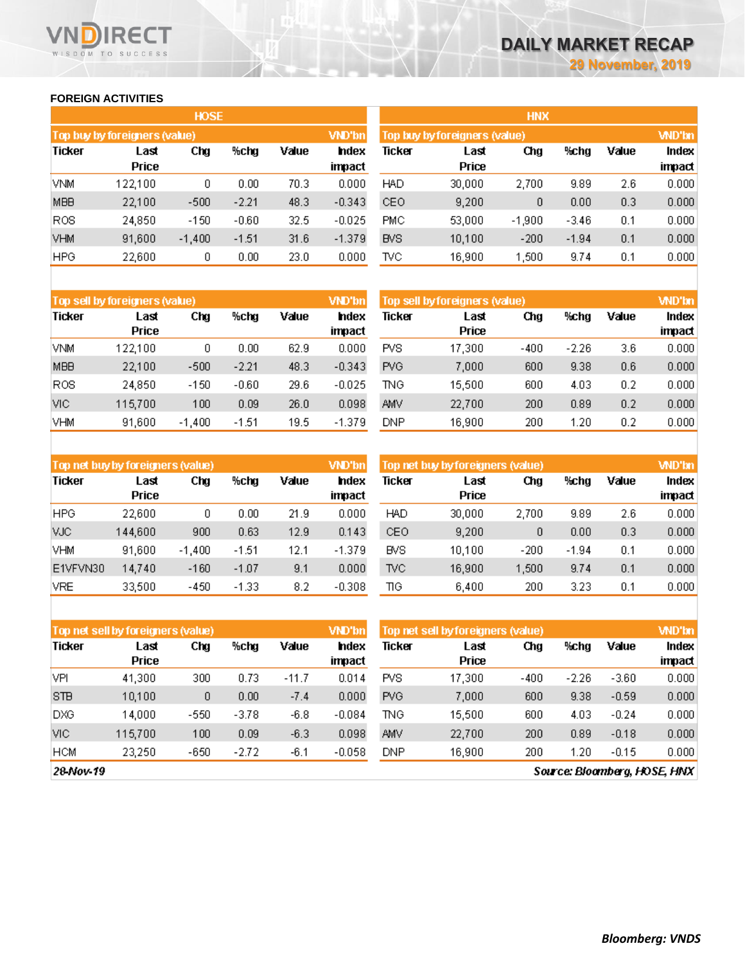#### **FOREIGN ACTIVITIES**

WISDOM TO SUCCESS

RECT

|                 |                               | <b>HOSE</b> |         |       |               | <b>HNX</b> |                               |          |         |       |              |  |
|-----------------|-------------------------------|-------------|---------|-------|---------------|------------|-------------------------------|----------|---------|-------|--------------|--|
|                 | Top buy by foreigners (value) |             |         |       | <b>VND'bn</b> |            | Top buy by foreigners (value) |          |         |       | <b>WD'bn</b> |  |
| Ticker          | Last                          | Chg         | %chg    | Value | hdex          | Ticker     | Last                          | Chg      | %chg    | Value | Index        |  |
|                 | Price                         |             |         |       | impact        |            | Price                         |          |         |       | impact       |  |
| <b>VNM</b>      | 122,100                       | 0           | 0.00    | 70.3  | 0.000         | <b>HAD</b> | 30,000                        | 2,700    | 9.89    | 2.6   | 0.000        |  |
| <b>MBB</b>      | 22,100                        | $-500$      | $-2.21$ | 48.3  | $-0.343$      | CEO.       | 9,200                         | 0        | 0.00    | 0.3   | 0.000        |  |
| R <sub>OS</sub> | 24,850                        | $-150$      | $-0.60$ | 32.5  | $-0.025$      | PMC        | 53,000                        | $-1,900$ | $-3.46$ | 0.1   | 0.000        |  |
| <b>VHM</b>      | 91,600                        | $-1,400$    | $-1.51$ | 31.6  | $-1.379$      | <b>BVS</b> | 10,100                        | $-200$   | $-1.94$ | 0.1   | 0.000        |  |
| <b>HPG</b>      | 22,600                        | 0           | 0.00    | 23.0  | 0.000         | TVC        | 16,900                        | 1,500    | 9.74    | 0.1   | 0.000        |  |

|               | Top sell by foreigners (value) |          |         |       | VND'bn         | Top sell by foreigners (value) |               |        |         |       |                 |
|---------------|--------------------------------|----------|---------|-------|----------------|--------------------------------|---------------|--------|---------|-------|-----------------|
| <b>Ticker</b> | Last<br><b>Price</b>           | Chg      | %chg    | Value | hdex<br>impact | Ticker                         | Last<br>Price | Chg    | %chg    | Value | Index<br>impact |
| <b>VNM</b>    | 122,100                        | ۵        | 0.00    | 62.9  | 0.000          | <b>PVS</b>                     | 17,300        | $-400$ | $-2.26$ | 3.6   | 0.000           |
| <b>MBB</b>    | 22,100                         | $-500$   | $-2.21$ | 48.3  | $-0.343$       | <b>PVG</b>                     | 7,000         | 600    | 9.38    | 0.6   | 0.000           |
| <b>ROS</b>    | 24,850                         | $-150$   | $-0.60$ | 29.6  | $-0.025$       | TNG                            | 15,500        | 600    | 4.03    | 0.2   | 0.000           |
| VIC.          | 115,700                        | 100      | 0.09    | 26.0  | 0.098          | AMV                            | 22,700        | 200    | 0.89    | 0.2   | 0.000           |
| <b>VHM</b>    | 91,600                         | $-1,400$ | $-1.51$ | 19.5  | $-1.379$       | DNP                            | 16,900        | 200    | 1.20    | 0.2   | 0.000           |

| Top net buy by foreigners (value) |                      |          |         |       | <b>VND'bn</b>   | <b>WD'bn</b><br>Top net buy by foreigners (value) |                      |        |         |       |                 |
|-----------------------------------|----------------------|----------|---------|-------|-----------------|---------------------------------------------------|----------------------|--------|---------|-------|-----------------|
| Ticker                            | Last<br><b>Price</b> | Chg      | %chg    | Value | Index<br>impact | Ticker                                            | Last<br><b>Price</b> | Chg    | %chg    | Value | Index<br>impact |
| <b>HPG</b>                        | 22,600               | 0        | 0.00    | 21.9  | 0.000           | <b>HAD</b>                                        | 30,000               | 2.700  | 9.89    | 2.6   | 0.000           |
| VJC.                              | 144,600              | 900      | 0.63    | 12.9  | 0.143           | CEO                                               | 9.200                | 0      | 0.00    | 0.3   | 0.000           |
| <b>VHM</b>                        | 91,600               | $-1.400$ | $-1.51$ | 12.1  | $-1.379$        | <b>BVS</b>                                        | 10.100               | $-200$ | $-1.94$ | 0.1   | 0.000           |
| E1VFVN30                          | 14,740               | $-160$   | $-1.07$ | 9.1   | 0.000           | <b>TVC</b>                                        | 16,900               | 1.500  | 9.74    | 0.1   | 0.000           |
| VRE                               | 33,500               | $-450$   | $-1.33$ | 8.2   | $-0.308$        | ΠG                                                | 6,400                | 200    | 3.23    | 0.1   | 0.000           |

| <b>VND'bn</b><br>Top net sell by foreigners (value) |                      |        |         |         |                 | Top net sell by foreigners (value) |               | <b>WD'bn</b> |         |         |                 |
|-----------------------------------------------------|----------------------|--------|---------|---------|-----------------|------------------------------------|---------------|--------------|---------|---------|-----------------|
| <b>Ticker</b>                                       | Last<br><b>Price</b> | Chg    | %chg    | Value   | Index<br>impact | Ticker                             | Last<br>Price | Chg          | %chg    | Value   | Index<br>impact |
| VPI                                                 | 41,300               | 300    | 0.73    | $-11.7$ | 0.014           | <b>PVS</b>                         | 17.300        | $-400$       | $-2.26$ | $-3.60$ | 0.000           |
| <b>STB</b>                                          | 10,100               | 0      | 0.00    | $-7.4$  | 0.000           | <b>PVG</b>                         | 7,000         | 600          | 9.38    | $-0.59$ | 0.000           |
| DXG                                                 | 14.000               | $-550$ | $-3.78$ | -6.8    | $-0.084$        | TNG.                               | 15.500        | 600          | 4.03    | $-0.24$ | 0.000           |
| VIC.                                                | 115,700              | 100    | 0.09    | $-6.3$  | 0.098           | <b>AMV</b>                         | 22,700        | 200          | 0.89    | $-0.18$ | 0.000           |
| <b>HCM</b>                                          | 23,250               | $-650$ | $-2.72$ | -6.1    | $-0.058$        | DNP                                | 16,900        | 200          | 1.20    | $-0.15$ | 0.000           |

28-Nov-19

Source: Bloomberg, HOSE, HNX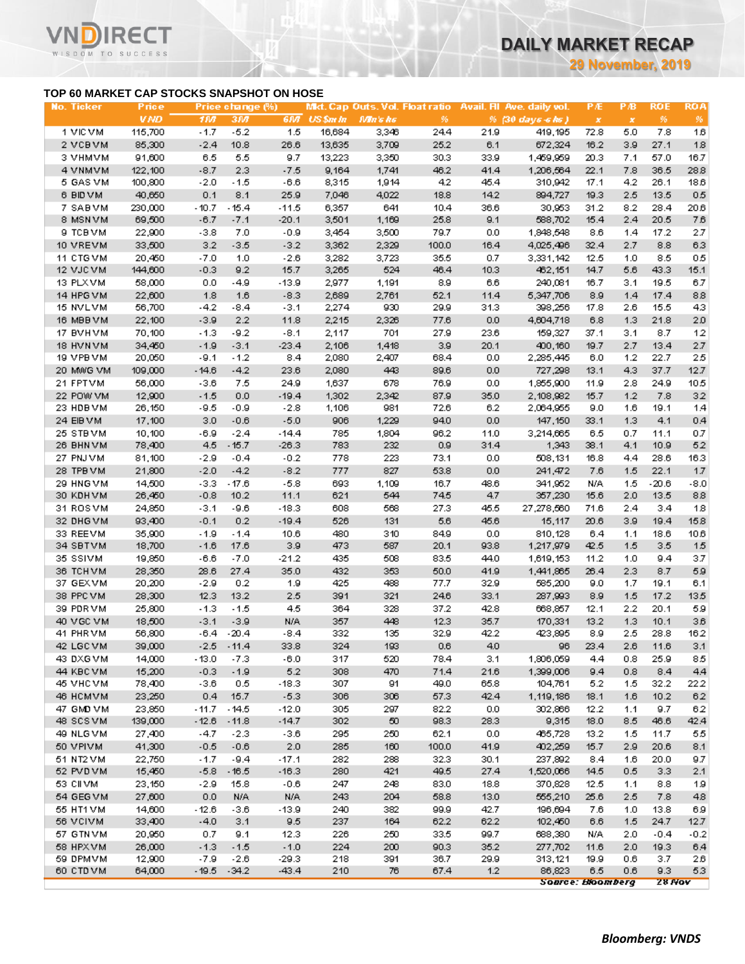**29 November, 2019**

### **TOP 60 MARKET CAP STOCKS SNAPSHOT ON HOSE**

΄Τ

WISDOM TO SUCCESS

| <b>No. Ticker</b>     | Price            |                  | Price change (%) |                 |            |            |             |             | Mkt. Cap Outs. Vol. Float ratio Avail. Fil Ave. daily vol. | <b>PÆ</b>      | PВ         | <b>ROE</b>  | <b>ROA</b>   |
|-----------------------|------------------|------------------|------------------|-----------------|------------|------------|-------------|-------------|------------------------------------------------------------|----------------|------------|-------------|--------------|
|                       | <b>VND</b>       | 1107             | 3M               | 61/7            | US \$m In  | Mn's hs    | 96          |             | % (30 days 6 ks)                                           | $\pmb{\times}$ | $\pmb{x}$  | 96          | 96           |
| 1 VIC VM              | 115,700          | $-1.7$           | $-5.2$           | 1.5             | 16,684     | 3,346      | 24.4        | 21.9        | 419,195                                                    | 72.8           | 5.0        | 7.8         | 16           |
| 2 VCBVM               | 85,300           | $-2.4$           | 10.8             | 26.6            | 13,635     | 3,709      | 25.2        | 6.1         | 672,324                                                    | 16.2           | 3.9        | 27.1        | 18           |
| 3 VHMVM               | 91,600           | 6.5              | 5.5              | 9.7             | 13,223     | 3,350      | 30.3        | 33.9        | 1,459,959                                                  | 20.3           | 7.1        | 57.0        | 16.7         |
| 4 VNMVM               | 122,100          | $-8.7$           | 2.3              | $-7.5$          | 9,164      | 1,741      | 46.2        | 41.4        | 1,206,564                                                  | 22.1           | 7.8        | 36.5        | 28.8         |
| 5 GAS VM              | 100,800          | $-2.0$           | $-1.5$           | $-6.6$          | 8,315      | 1,914      | 4.2         | 45.4        | 310,942                                                    | 17.1           | 4.2        | 26.1        | 18.6         |
| 6 BID VM              | 40,650           | 0.1              | 8.1              | 25.9            | 7,046      | 4,022      | 18.8        | 14.2        | 894,727                                                    | 19.3           | 2.5        | 13.5        | 0.5          |
| 7 SABVM               | 230,000          | $-10.7$          | $-15.4$          | $-11.5$         | 6,357      | 641        | 10.4        | 36.6        | 30,953                                                     | 31.2           | 8.2        | 28.4        | 20.6         |
| 8 MSN VM              | 69,500           | $-6.7$           | $-7.1$           | $-20.1$         | 3,501      | 1,169      | 25.8        | 9.1         | 588,702                                                    | 15.4           | 2.4        | 20.5        | 7.6          |
| 9 ТСВ УМ              | 22,900           | $-3.8$           | 7.0              | $-0.9$          | 3,454      | 3,500      | 79.7        | 0.0         | 1,948,548                                                  | 8.6            | 1.4        | 17.2        | 2.7          |
| 10 VREVM              | 33,500           | 3.2              | $-3.5$           | $-3.2$          | 3,362      | 2,329      | 100.0       | 16.4        | 4,025,496                                                  | 32.4           | 2.7        | 8.8         | 6.3          |
| 11 CTGVM              | 20,450           | $-7.0$           | 1.0              | $-2.6$          | 3,282      | 3,723      | 35.5        | 0.7         | 3,331,142                                                  | 12.5           | 1.0        | 8.5         | 0.5          |
| 12 VJC VM             | 144,600          | $-0.3$           | 9.2              | 15.7            | 3,265      | 524        | 46.4        | 10.3        | 462,151                                                    | 14.7           | 5.6        | 43.3        | 15.1         |
| 13 PLXVM              | 58,000           | 0.0              | $-4.9$           | -13.9           | 2,977      | 1,191      | 8.9         | 6.6         | 240,081                                                    | 16.7           | 3.1        | 19.5        | 6.7          |
| 14 HPG VM             | 22,600           | 1.8              | 1.6              | $-8.3$          | 2,689      | 2,761      | 52.1        | 11.4        | 5,347,706                                                  | 8.9            | 1.4        | 17.4        | 8.8          |
| 15 NVLVM              | 56,700           | $-4.2$           | -8.4             | $-3.1$          | 2,274      | 930        | 29.9        | 31.3        | 398,256                                                    | 17.8           | 2.6        | 15.5        | 43           |
| 16 MBBVM              | 22,100           | $-3.9$           | $2.2\,$          | 11.8            | 2,215      | 2,326      | 77.6        | 0.0         | 4,604,718                                                  | 6.8            | 1.3        | 21.8        | 2.0          |
| 17 BVHVM              | 70,100           | $-1.3$           | $-9.2$           | $-8.1$          | 2,117      | 701        | 27.9        | 23.6        | 159,327                                                    | 37.1           | 3.1        | 8.7         | 12           |
| 18 HVN VM             | 34,450           | $-1.9$           | $-3.1$           | $-23.4$         | 2,106      | 1,418      | 3.9         | 20.1        | 400,160                                                    | 19.7           | 2.7        | 13.4        | 27           |
| 19 VPB VM             | 20,050           | $-9.1$           | $-1.2$           | 8.4             | 2,080      | 2,407      | 68.4        | 0.0         | 2,285,445                                                  | 6.0            | 1.2        | 22.7        | 25           |
| 20 MWG VM             | 109,000          | $-14.6$          | $-4.2$           | 23.6            | 2,080      | 443        | 89.6        | 0.0         | 727,298                                                    | 13.1           | 4.3        | 37.7        | 12.7         |
| 21 FPTVM              | 56,000           | $-3.6$           | 7.5              | 24.9            | 1,637      | 678        | 76.9        | 0.0         | 1,855,900                                                  | 11.9           | 2.8        | 24.9        | 10.5         |
| 22 POW VM             | 12,900           | $-1.5$           | 0.0              | $-19.4$         | 1,302      | 2,342      | 87.9        | 35.0        | 2,108,982                                                  | 15.7           | 1.2        | 7.8         | 32           |
| 23 HDB VM             | 26,150           | $-9.5$           | $-0.9$           | $-2.8$          | 1,106      | 981        | 72.6        | 6.2         | 2,064,955                                                  | 9.0            | 1.6        | 19.1        | 1.4          |
| 24 EIB VM             | 17,100           | 3.0              | $-0.6$           | $-5.0$          | 906        | 1,229      | 94.0        | 0.0         | 147,150                                                    | 33.1           | 1.3        | 4.1         | 0.4          |
| 25 STBVM              | 10,100           | $-6.9$           | $-2.4$           | $-14.4$         | 785        | 1,804      | 96.2        | 11.0        | 3,214,665                                                  | 6.5            | 0.7        | 11.1        | 0.7          |
| 26 BHN VM             | 78,400           | 4.5              | $-15.7$          | $-26.3$         | 783        | 232        | 0.9         | 31.4        | 1,343                                                      | 38.1           | 4.1        | 10.9        | 52           |
| 27 PNJ VM             | 81,100           | $-2.9$           | $-0.4$           | $-0.2$          | 778        | 223        | 73.1        | 0.0         | 508,131                                                    | 16.8           | 4.4        | 28.6        | 16.3         |
| 28 TPB VM             | 21,800           | $-2.0$           | $-4.2$           | $-8.2$          | 777        | 827        | 53.8        | 0.0         | 241,472                                                    | 7.6            | 1.5        | 22.1        | 17           |
| 29 HNG VM             | 14,500           | $-3.3$           | $-17.6$          | $-5.8$          | 693        | 1,109      | 16.7        | 48.6        | 341,952                                                    | N/A            | 1.5        | $-20.6$     | $-8.0$       |
| 30 KDHVM              | 26,450           | $-0.8$           | 10.2             | 11.1            | 621        | 544        | 745         | 4.7<br>45.5 | 357,230                                                    | 15.6           | 2.0        | 13.5        | 8.8          |
| 31 ROSVM              | 24,850           | $-3.1$           | $-9.6$<br>0.2    | $-18.3$         | 608<br>526 | 568        | 27.3<br>5.6 | 45.6        | 27,278,560                                                 | 71.6           | 2.4<br>3.9 | 3.4<br>19.4 | 1.8          |
| 32 DHG VM<br>33 REEVM | 93,400<br>35,900 | $-0.1$<br>$-1.9$ | $-1.4$           | $-19.4$<br>10.6 | 480        | 131<br>310 | 84.9        | 0.0         | 15,117<br>810,128                                          | 20.6           |            |             | 15.8<br>10.6 |
| 34 SBTVM              | 18,700           | $-1.6$           | 17.6             | 3.9             | 473        | 587        | 20.1        | 93.8        | 1,217,979                                                  | 6.4<br>42.5    | 1.1<br>1.5 | 18.6<br>3.5 | 15           |
| 35 SSIVM              | 19,850           | $-6.6$           | $-7.0$           | $-21.2$         | 435        | 508        | 83.5        | 44.0        | 1,619,153                                                  | 11.2           | 1.0        | 9.4         | 3.7          |
| 36 TCHVM              | 28,350           | 28.6             | 27.4             | 35.0            | 432        | 353        | 50.0        | 41.9        | 1,441,865                                                  | 26.4           | 2.3        | 8.7         | 5.9          |
| 37 GEX VM             | 20,200           | $-2.9$           | 0.2              | 1.9             | 425        | 488        | 77.7        | 32.9        | 585,200                                                    | 9.0            | 1.7        | 19.1        | 6.1          |
| 38 PPC VM             | 28,300           | 12.3             | 13.2             | 2.5             | 391        | 321        | 24.6        | 33.1        | 287,993                                                    | 8.9            | 1.5        | 17.2        | 13.5         |
| 39 PDR VM             | 25,800           | $-1.3$           | $-1.5$           | 4.5             | 364        | 328        | 37.2        | 42.8        | 668,857                                                    | 12.1           | 2.2        | 20.1        | 59           |
| 40 VGC VM             | 18,500           | $-3.1$           | $-3.9$           | N/A             | 357        | 448        | 12.3        | 35.7        | 170,331                                                    | 13.2           | 1.3        | 10.1        | 3.6          |
| 41 PHR VM             | 56,800           | -6.4             | $-20.4$          | $-8.4$          | 332        | 135        | 32.9        | 42.2        | 423,895                                                    | 8.9            | 2.5        | 28.8        | 16.2         |
| 42 LGC VM             | 39,000           | $-2.5$           | $-11.4$          | 33.8            | 324        | 193        | $0.6\,$     | 4.0         | 96                                                         | 23.4           | $2.6\,$    | 11.6        | 3.1          |
| 43 DXG VM             | 14,000           | $-13.0$          | -7.3             | $-6.0$          | 317        | 520        | 78.4        | 3.1         | 1,806,059                                                  | 4.4            | 0.8        | 25.9        | 85           |
| 44 KBC VM             | 15,200           | $-0.3$           | $-1.9$           | 5.2             | 308        | 470        | 71.4        | 21.6        | 1,399,006                                                  | 9.4            | 0.8        | 8.4         | 4.4          |
| 45 VHC VM             | 78,400           | $-3.6$           | 0.5              | $-18.3$         | 307        | 91         | 49.0        | 65.8        | 104,761                                                    | 5.2            | 1.5        | 32.2        | 22.2         |
| 46 HCMVM              | 23,250           | 0.4              | 15.7             | $-5.3$          | 306        | 306        | 57.3        | 42.4        | 1,119,186                                                  | 18.1           | 1.6        | 10.2        | 62           |
| 47 GMD VM             | 23,850           | $-11.7$          | $-14.5$          | $-12.0$         | 305        | 297        | 82.2        | 0.0         | 302,866                                                    | 12.2           | 1.1        | 9.7         | 62           |
| 48 SCSVM              | 139,000          | $-12.6$          | $-11.8$          | $-14.7$         | 302        | 50         | 98.3        | 28.3        | 9,315                                                      | 18.0           | 8.5        | 46.6        | 42.4         |
| 49 NLG VM             | 27,400           | $-4.7$           | $-2.3$           | $-3.6$          | 295        | 250        | 62.1        | 0.0         | 465,728                                                    | 13.2           | 1.5        | 11.7        | 55           |
| 50 VPIVM              | 41,300           | $-0.5$           | $-0.6$           | 2.0             | 285        | 160        | 100.0       | 41.9        | 402,259                                                    | 15.7           | 2.9        | 20.6        | 8.1          |
| 51 NT2 VM             | 22,750           | $-1.7$           | $-9.4$           | $-17.1$         | 282        | 288        | 32.3        | 30.1        | 237,892                                                    | 8.4            | 1.6        | 20.0        | 9.7          |
| 52 PVD VM             | 15,450           | $-5.8$           | $-16.5$          | $-16.3$         | 280        | 421        | 49.5        | 27.4        | 1,520,066                                                  | 14.5           | 0.5        | 3.3         | 2.1          |
| 53 CII VM             | 23,150           | $-2.9$           | 15.8             | $-0.6$          | 247        | 248        | 83.0        | 18.8        | 370,828                                                    | 12.5           | 1.1        | 8.8         | 19           |
| 54 GEG VM             | 27,600           | 0.0              | N/A              | N/A             | 243        | 204        | 58.8        | 13.0        | 555,210                                                    | 25.6           | 2.5        | 7.8         | 48           |
| 55 HT1 VM             | 14,600           | $-12.6$          | $-3.6$           | $-13.9$         | 240        | 382        | 99.9        | 42.7        | 196,694                                                    | 7.6            | 1.0        | 13.8        | 69           |
| 56 VCIVM              | 33,400           | $-4.0$           | 3.1              | 9.5             | 237        | 164        | 62.2        | 62.2        | 102,450                                                    | 6.6            | 1.5        | 24.7        | 12.7         |
| 57 GTN VM             | 20,950           | 0.7              | 9.1              | 12.3            | 226        | 250        | 33.5        | 99.7        | 688,380                                                    | N/A            | 2.0        | $-0.4$      | $-0.2$       |
| 58 HPX VM             | 26,000           | $-1.3$           | $-1.5$           | $-1.0$          | 224        | 200        | 90.3        | 35.2        | 277,702                                                    | 11.6           | 2.0        | 19.3        | 6,4          |
| 59 DPMVM              | 12,900           | $-7.9$           | $-2.6$           | -29.3           | 218        | 391        | 36.7        | 29.9        | 313,121                                                    | 19.9           | 0.6        | 3.7         | 2.6          |
| 60 CTD VM             | 64,000           | $-19.5$          | $-34.2$          | -43.4           | 210        | 76         | 67.4        | 1.2         | 86,823                                                     | 6.5            | 0.6        | 9.3         | 5.3          |
|                       |                  |                  |                  |                 |            |            |             |             | Source: Bloomberg                                          |                |            | 28 Nov      |              |